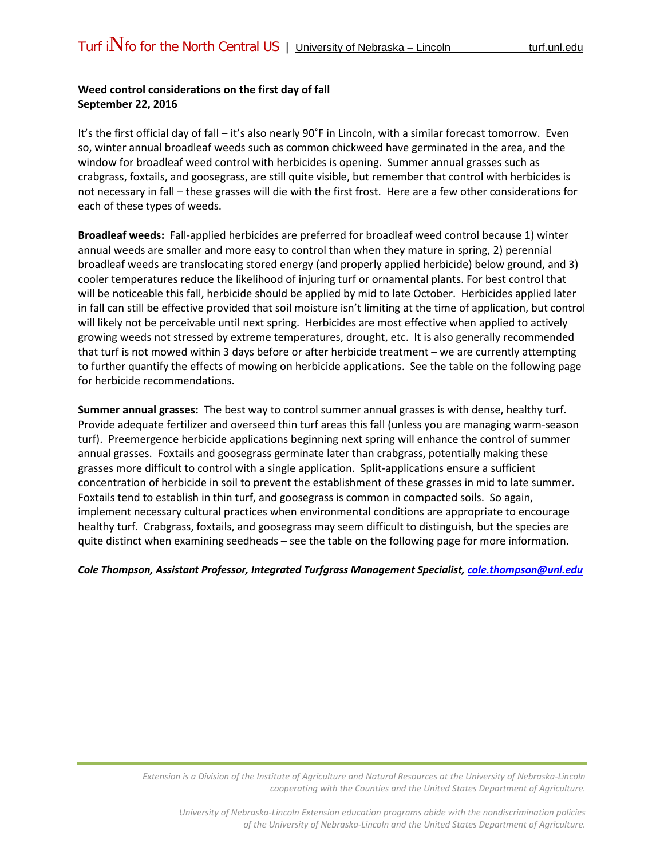## **Weed control considerations on the first day of fall September 22, 2016**

It's the first official day of fall – it's also nearly 90˚F in Lincoln, with a similar forecast tomorrow. Even so, winter annual broadleaf weeds such as common chickweed have germinated in the area, and the window for broadleaf weed control with herbicides is opening. Summer annual grasses such as crabgrass, foxtails, and goosegrass, are still quite visible, but remember that control with herbicides is not necessary in fall – these grasses will die with the first frost. Here are a few other considerations for each of these types of weeds.

**Broadleaf weeds:** Fall-applied herbicides are preferred for broadleaf weed control because 1) winter annual weeds are smaller and more easy to control than when they mature in spring, 2) perennial broadleaf weeds are translocating stored energy (and properly applied herbicide) below ground, and 3) cooler temperatures reduce the likelihood of injuring turf or ornamental plants. For best control that will be noticeable this fall, herbicide should be applied by mid to late October. Herbicides applied later in fall can still be effective provided that soil moisture isn't limiting at the time of application, but control will likely not be perceivable until next spring. Herbicides are most effective when applied to actively growing weeds not stressed by extreme temperatures, drought, etc. It is also generally recommended that turf is not mowed within 3 days before or after herbicide treatment – we are currently attempting to further quantify the effects of mowing on herbicide applications. See the table on the following page for herbicide recommendations.

**Summer annual grasses:** The best way to control summer annual grasses is with dense, healthy turf. Provide adequate fertilizer and overseed thin turf areas this fall (unless you are managing warm-season turf). Preemergence herbicide applications beginning next spring will enhance the control of summer annual grasses. Foxtails and goosegrass germinate later than crabgrass, potentially making these grasses more difficult to control with a single application. Split-applications ensure a sufficient concentration of herbicide in soil to prevent the establishment of these grasses in mid to late summer. Foxtails tend to establish in thin turf, and goosegrass is common in compacted soils. So again, implement necessary cultural practices when environmental conditions are appropriate to encourage healthy turf. Crabgrass, foxtails, and goosegrass may seem difficult to distinguish, but the species are quite distinct when examining seedheads – see the table on the following page for more information.

## *Cole Thompson, Assistant Professor, Integrated Turfgrass Management Specialist, [cole.thompson@unl.edu](mailto:cole.thompson@unl.edu)*

*Extension is a Division of the Institute of Agriculture and Natural Resources at the University of Nebraska-Lincoln cooperating with the Counties and the United States Department of Agriculture.*

*University of Nebraska-Lincoln Extension education programs abide with the nondiscrimination policies of the University of Nebraska-Lincoln and the United States Department of Agriculture.*